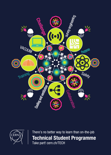



There's no better way to learn than on-the-job **Technical Student Programme** Take part! cern.ch/TECH